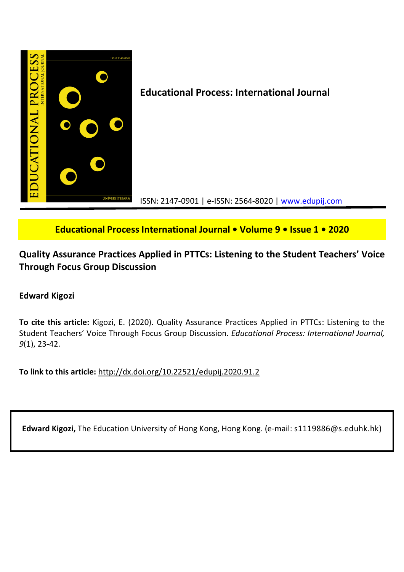

# **Educational Process International Journal • Volume 9 • Issue 1 • 2020**

# **Quality Assurance Practices Applied in PTTCs: Listening to the Student Teachers' Voice Through Focus Group Discussion**

# **Edward Kigozi**

**To cite this article:** Kigozi, E. (2020). Quality Assurance Practices Applied in PTTCs: Listening to the Student Teachers' Voice Through Focus Group Discussion. *Educational Process: International Journal, 9*(1), 23-42.

**To link to this article:** http://dx.doi.org/10.22521/edupij.2020.91.2

**Edward Kigozi,** The Education University of Hong Kong, Hong Kong. (e-mail: s1119886@s.eduhk.hk)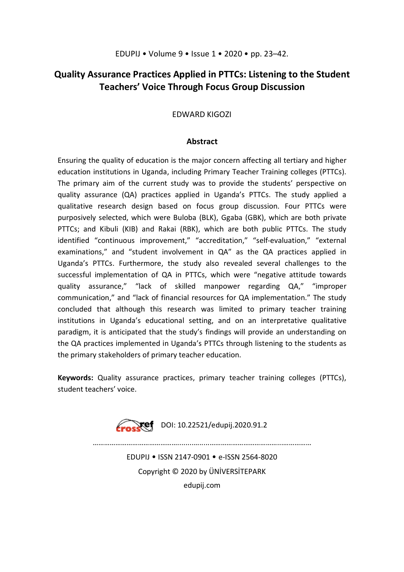# **Quality Assurance Practices Applied in PTTCs: Listening to the Student Teachers' Voice Through Focus Group Discussion**

# EDWARD KIGOZI

# **Abstract**

Ensuring the quality of education is the major concern affecting all tertiary and higher education institutions in Uganda, including Primary Teacher Training colleges (PTTCs). The primary aim of the current study was to provide the students' perspective on quality assurance (QA) practices applied in Uganda's PTTCs. The study applied a qualitative research design based on focus group discussion. Four PTTCs were purposively selected, which were Buloba (BLK), Ggaba (GBK), which are both private PTTCs; and Kibuli (KIB) and Rakai (RBK), which are both public PTTCs. The study identified "continuous improvement," "accreditation," "self-evaluation," "external examinations," and "student involvement in QA" as the QA practices applied in Uganda's PTTCs. Furthermore, the study also revealed several challenges to the successful implementation of QA in PTTCs, which were "negative attitude towards quality assurance," "lack of skilled manpower regarding QA," "improper communication," and "lack of financial resources for QA implementation." The study concluded that although this research was limited to primary teacher training institutions in Uganda's educational setting, and on an interpretative qualitative paradigm, it is anticipated that the study's findings will provide an understanding on the QA practices implemented in Uganda's PTTCs through listening to the students as the primary stakeholders of primary teacher education.

**Keywords:** Quality assurance practices, primary teacher training colleges (PTTCs), student teachers' voice.



………………………………………........….....………………………………...…………… EDUPIJ • ISSN 2147-0901 • e-ISSN 2564-8020 Copyright © 2020 by ÜNİVERSİTEPARK edupij.com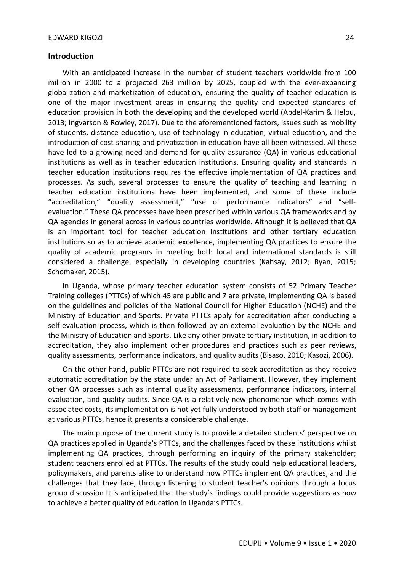## **Introduction**

With an anticipated increase in the number of student teachers worldwide from 100 million in 2000 to a projected 263 million by 2025, coupled with the ever-expanding globalization and marketization of education, ensuring the quality of teacher education is one of the major investment areas in ensuring the quality and expected standards of education provision in both the developing and the developed world (Abdel-Karim & Helou, 2013; Ingvarson & Rowley, 2017). Due to the aforementioned factors, issues such as mobility of students, distance education, use of technology in education, virtual education, and the introduction of cost-sharing and privatization in education have all been witnessed. All these have led to a growing need and demand for quality assurance (QA) in various educational institutions as well as in teacher education institutions. Ensuring quality and standards in teacher education institutions requires the effective implementation of QA practices and processes. As such, several processes to ensure the quality of teaching and learning in teacher education institutions have been implemented, and some of these include "accreditation," "quality assessment," "use of performance indicators" and "selfevaluation." These QA processes have been prescribed within various QA frameworks and by QA agencies in general across in various countries worldwide. Although it is believed that QA is an important tool for teacher education institutions and other tertiary education institutions so as to achieve academic excellence, implementing QA practices to ensure the quality of academic programs in meeting both local and international standards is still considered a challenge, especially in developing countries (Kahsay, 2012; Ryan, 2015; Schomaker, 2015).

In Uganda, whose primary teacher education system consists of 52 Primary Teacher Training colleges (PTTCs) of which 45 are public and 7 are private, implementing QA is based on the guidelines and policies of the National Council for Higher Education (NCHE) and the Ministry of Education and Sports. Private PTTCs apply for accreditation after conducting a self-evaluation process, which is then followed by an external evaluation by the NCHE and the Ministry of Education and Sports. Like any other private tertiary institution, in addition to accreditation, they also implement other procedures and practices such as peer reviews, quality assessments, performance indicators, and quality audits (Bisaso, 2010; Kasozi, 2006).

On the other hand, public PTTCs are not required to seek accreditation as they receive automatic accreditation by the state under an Act of Parliament. However, they implement other QA processes such as internal quality assessments, performance indicators, internal evaluation, and quality audits. Since QA is a relatively new phenomenon which comes with associated costs, its implementation is not yet fully understood by both staff or management at various PTTCs, hence it presents a considerable challenge.

The main purpose of the current study is to provide a detailed students' perspective on QA practices applied in Uganda's PTTCs, and the challenges faced by these institutions whilst implementing QA practices, through performing an inquiry of the primary stakeholder; student teachers enrolled at PTTCs. The results of the study could help educational leaders, policymakers, and parents alike to understand how PTTCs implement QA practices, and the challenges that they face, through listening to student teacher's opinions through a focus group discussion It is anticipated that the study's findings could provide suggestions as how to achieve a better quality of education in Uganda's PTTCs.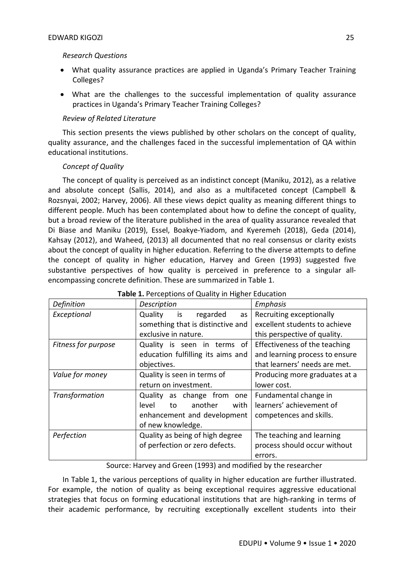# *Research Questions*

- What quality assurance practices are applied in Uganda's Primary Teacher Training Colleges?
- What are the challenges to the successful implementation of quality assurance practices in Uganda's Primary Teacher Training Colleges?

# *Review of Related Literature*

This section presents the views published by other scholars on the concept of quality, quality assurance, and the challenges faced in the successful implementation of QA within educational institutions.

# *Concept of Quality*

The concept of quality is perceived as an indistinct concept (Maniku, 2012), as a relative and absolute concept (Sallis, 2014), and also as a multifaceted concept (Campbell & Rozsnyai, 2002; Harvey, 2006). All these views depict quality as meaning different things to different people. Much has been contemplated about how to define the concept of quality, but a broad review of the literature published in the area of quality assurance revealed that Di Biase and Maniku (2019), Essel, Boakye-Yiadom, and Kyeremeh (2018), Geda (2014), Kahsay (2012), and Waheed, (2013) all documented that no real consensus or clarity exists about the concept of quality in higher education. Referring to the diverse attempts to define the concept of quality in higher education, Harvey and Green (1993) suggested five substantive perspectives of how quality is perceived in preference to a singular allencompassing concrete definition. These are summarized in Table 1.

| Definition          | Description                       | Emphasis                       |
|---------------------|-----------------------------------|--------------------------------|
| Exceptional         | Quality<br>is<br>regarded<br>as   | Recruiting exceptionally       |
|                     | something that is distinctive and | excellent students to achieve  |
|                     | exclusive in nature.              | this perspective of quality.   |
| Fitness for purpose | Quality is seen in terms<br>of    | Effectiveness of the teaching  |
|                     | education fulfilling its aims and | and learning process to ensure |
|                     | objectives.                       | that learners' needs are met.  |
| Value for money     | Quality is seen in terms of       | Producing more graduates at a  |
|                     | return on investment.             | lower cost.                    |
| Transformation      | as change from<br>Quality<br>one  | Fundamental change in          |
|                     | another<br>with<br>level<br>to    | learners' achievement of       |
|                     | enhancement and development       | competences and skills.        |
|                     | of new knowledge.                 |                                |
| Perfection          | Quality as being of high degree   | The teaching and learning      |
|                     | of perfection or zero defects.    | process should occur without   |
|                     |                                   | errors.                        |

# **Table 1.** Perceptions of Quality in Higher Education

Source: Harvey and Green (1993) and modified by the researcher

In Table 1, the various perceptions of quality in higher education are further illustrated. For example, the notion of quality as being exceptional requires aggressive educational strategies that focus on forming educational institutions that are high-ranking in terms of their academic performance, by recruiting exceptionally excellent students into their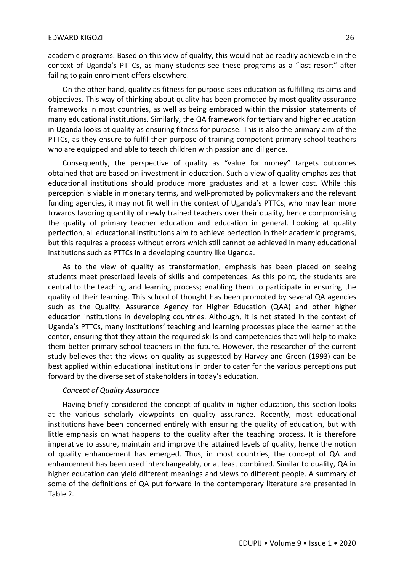academic programs. Based on this view of quality, this would not be readily achievable in the context of Uganda's PTTCs, as many students see these programs as a "last resort" after failing to gain enrolment offers elsewhere.

On the other hand, quality as fitness for purpose sees education as fulfilling its aims and objectives. This way of thinking about quality has been promoted by most quality assurance frameworks in most countries, as well as being embraced within the mission statements of many educational institutions. Similarly, the QA framework for tertiary and higher education in Uganda looks at quality as ensuring fitness for purpose. This is also the primary aim of the PTTCs, as they ensure to fulfil their purpose of training competent primary school teachers who are equipped and able to teach children with passion and diligence.

Consequently, the perspective of quality as "value for money" targets outcomes obtained that are based on investment in education. Such a view of quality emphasizes that educational institutions should produce more graduates and at a lower cost. While this perception is viable in monetary terms, and well-promoted by policymakers and the relevant funding agencies, it may not fit well in the context of Uganda's PTTCs, who may lean more towards favoring quantity of newly trained teachers over their quality, hence compromising the quality of primary teacher education and education in general. Looking at quality perfection, all educational institutions aim to achieve perfection in their academic programs, but this requires a process without errors which still cannot be achieved in many educational institutions such as PTTCs in a developing country like Uganda.

As to the view of quality as transformation, emphasis has been placed on seeing students meet prescribed levels of skills and competences. As this point, the students are central to the teaching and learning process; enabling them to participate in ensuring the quality of their learning. This school of thought has been promoted by several QA agencies such as the Quality. Assurance Agency for Higher Education (QAA) and other higher education institutions in developing countries. Although, it is not stated in the context of Uganda's PTTCs, many institutions' teaching and learning processes place the learner at the center, ensuring that they attain the required skills and competencies that will help to make them better primary school teachers in the future. However, the researcher of the current study believes that the views on quality as suggested by Harvey and Green (1993) can be best applied within educational institutions in order to cater for the various perceptions put forward by the diverse set of stakeholders in today's education.

### *Concept of Quality Assurance*

Having briefly considered the concept of quality in higher education, this section looks at the various scholarly viewpoints on quality assurance. Recently, most educational institutions have been concerned entirely with ensuring the quality of education, but with little emphasis on what happens to the quality after the teaching process. It is therefore imperative to assure, maintain and improve the attained levels of quality, hence the notion of quality enhancement has emerged. Thus, in most countries, the concept of QA and enhancement has been used interchangeably, or at least combined. Similar to quality, QA in higher education can yield different meanings and views to different people. A summary of some of the definitions of QA put forward in the contemporary literature are presented in Table 2.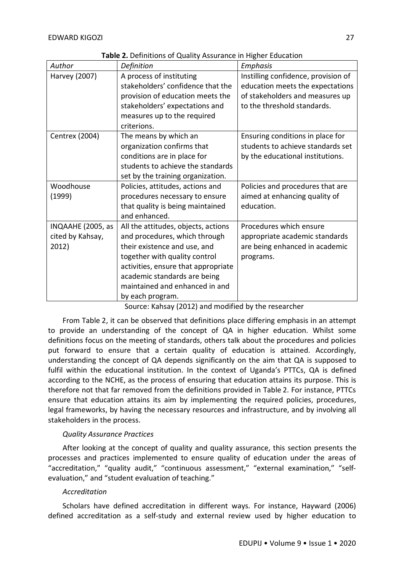| Author                                         | Definition                                                                                                                                                                                                                                                         | Emphasis                                                                                                                                  |
|------------------------------------------------|--------------------------------------------------------------------------------------------------------------------------------------------------------------------------------------------------------------------------------------------------------------------|-------------------------------------------------------------------------------------------------------------------------------------------|
| Harvey (2007)                                  | A process of instituting<br>stakeholders' confidence that the<br>provision of education meets the<br>stakeholders' expectations and<br>measures up to the required                                                                                                 | Instilling confidence, provision of<br>education meets the expectations<br>of stakeholders and measures up<br>to the threshold standards. |
| <b>Centrex (2004)</b>                          | criterions.<br>The means by which an<br>organization confirms that<br>conditions are in place for<br>students to achieve the standards<br>set by the training organization.                                                                                        | Ensuring conditions in place for<br>students to achieve standards set<br>by the educational institutions.                                 |
| Woodhouse<br>(1999)                            | Policies, attitudes, actions and<br>procedures necessary to ensure<br>that quality is being maintained<br>and enhanced.                                                                                                                                            | Policies and procedures that are<br>aimed at enhancing quality of<br>education.                                                           |
| INQAAHE (2005, as<br>cited by Kahsay,<br>2012) | All the attitudes, objects, actions<br>and procedures, which through<br>their existence and use, and<br>together with quality control<br>activities, ensure that appropriate<br>academic standards are being<br>maintained and enhanced in and<br>by each program. | Procedures which ensure<br>appropriate academic standards<br>are being enhanced in academic<br>programs.                                  |

**Table 2.** Definitions of Quality Assurance in Higher Education

Source: Kahsay (2012) and modified by the researcher

From Table 2, it can be observed that definitions place differing emphasis in an attempt to provide an understanding of the concept of QA in higher education. Whilst some definitions focus on the meeting of standards, others talk about the procedures and policies put forward to ensure that a certain quality of education is attained. Accordingly, understanding the concept of QA depends significantly on the aim that QA is supposed to fulfil within the educational institution. In the context of Uganda's PTTCs, QA is defined according to the NCHE, as the process of ensuring that education attains its purpose. This is therefore not that far removed from the definitions provided in Table 2. For instance, PTTCs ensure that education attains its aim by implementing the required policies, procedures, legal frameworks, by having the necessary resources and infrastructure, and by involving all stakeholders in the process.

# *Quality Assurance Practices*

After looking at the concept of quality and quality assurance, this section presents the processes and practices implemented to ensure quality of education under the areas of "accreditation," "quality audit," "continuous assessment," "external examination," "selfevaluation," and "student evaluation of teaching."

# *Accreditation*

Scholars have defined accreditation in different ways. For instance, Hayward (2006) defined accreditation as a self-study and external review used by higher education to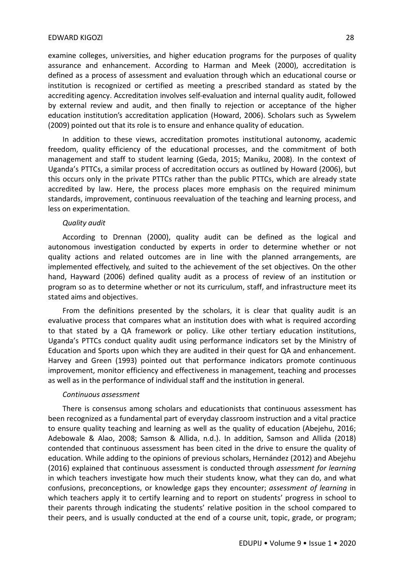#### EDWARD KIGOZI 28

examine colleges, universities, and higher education programs for the purposes of quality assurance and enhancement. According to Harman and Meek (2000), accreditation is defined as a process of assessment and evaluation through which an educational course or institution is recognized or certified as meeting a prescribed standard as stated by the accrediting agency. Accreditation involves self-evaluation and internal quality audit, followed by external review and audit, and then finally to rejection or acceptance of the higher education institution's accreditation application (Howard, 2006). Scholars such as Sywelem (2009) pointed out that its role is to ensure and enhance quality of education.

In addition to these views, accreditation promotes institutional autonomy, academic freedom, quality efficiency of the educational processes, and the commitment of both management and staff to student learning (Geda, 2015; Maniku, 2008). In the context of Uganda's PTTCs, a similar process of accreditation occurs as outlined by Howard (2006), but this occurs only in the private PTTCs rather than the public PTTCs, which are already state accredited by law. Here, the process places more emphasis on the required minimum standards, improvement, continuous reevaluation of the teaching and learning process, and less on experimentation.

#### *Quality audit*

According to Drennan (2000), quality audit can be defined as the logical and autonomous investigation conducted by experts in order to determine whether or not quality actions and related outcomes are in line with the planned arrangements, are implemented effectively, and suited to the achievement of the set objectives. On the other hand, Hayward (2006) defined quality audit as a process of review of an institution or program so as to determine whether or not its curriculum, staff, and infrastructure meet its stated aims and objectives.

From the definitions presented by the scholars, it is clear that quality audit is an evaluative process that compares what an institution does with what is required according to that stated by a QA framework or policy. Like other tertiary education institutions, Uganda's PTTCs conduct quality audit using performance indicators set by the Ministry of Education and Sports upon which they are audited in their quest for QA and enhancement. Harvey and Green (1993) pointed out that performance indicators promote continuous improvement, monitor efficiency and effectiveness in management, teaching and processes as well as in the performance of individual staff and the institution in general.

#### *Continuous assessment*

There is consensus among scholars and educationists that continuous assessment has been recognized as a fundamental part of everyday classroom instruction and a vital practice to ensure quality teaching and learning as well as the quality of education (Abejehu, 2016; Adebowale & Alao, 2008; Samson & Allida, n.d.). In addition, Samson and Allida (2018) contended that continuous assessment has been cited in the drive to ensure the quality of education. While adding to the opinions of previous scholars, Hernández (2012) and Abejehu (2016) explained that continuous assessment is conducted through *assessment for learning* in which teachers investigate how much their students know, what they can do, and what confusions, preconceptions, or knowledge gaps they encounter; *assessment of learning* in which teachers apply it to certify learning and to report on students' progress in school to their parents through indicating the students' relative position in the school compared to their peers, and is usually conducted at the end of a course unit, topic, grade, or program;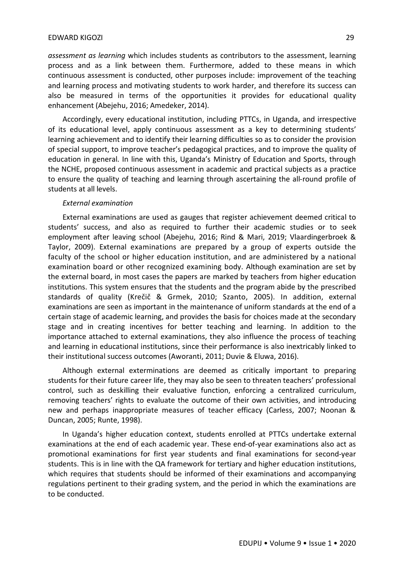*assessment as learning* which includes students as contributors to the assessment, learning process and as a link between them. Furthermore, added to these means in which continuous assessment is conducted, other purposes include: improvement of the teaching and learning process and motivating students to work harder, and therefore its success can also be measured in terms of the opportunities it provides for educational quality enhancement (Abejehu, 2016; Amedeker, 2014).

Accordingly, every educational institution, including PTTCs, in Uganda, and irrespective of its educational level, apply continuous assessment as a key to determining students' learning achievement and to identify their learning difficulties so as to consider the provision of special support, to improve teacher's pedagogical practices, and to improve the quality of education in general. In line with this, Uganda's Ministry of Education and Sports, through the NCHE, proposed continuous assessment in academic and practical subjects as a practice to ensure the quality of teaching and learning through ascertaining the all-round profile of students at all levels.

#### *External examination*

External examinations are used as gauges that register achievement deemed critical to students' success, and also as required to further their academic studies or to seek employment after leaving school (Abejehu, 2016; Rind & Mari, 2019; Vlaardingerbroek & Taylor, 2009). External examinations are prepared by a group of experts outside the faculty of the school or higher education institution, and are administered by a national examination board or other recognized examining body. Although examination are set by the external board, in most cases the papers are marked by teachers from higher education institutions. This system ensures that the students and the program abide by the prescribed standards of quality (Krečič & Grmek, 2010; Szanto, 2005). In addition, external examinations are seen as important in the maintenance of uniform standards at the end of a certain stage of academic learning, and provides the basis for choices made at the secondary stage and in creating incentives for better teaching and learning. In addition to the importance attached to external examinations, they also influence the process of teaching and learning in educational institutions, since their performance is also inextricably linked to their institutional success outcomes (Aworanti, 2011; Duvie & Eluwa, 2016).

Although external exterminations are deemed as critically important to preparing students for their future career life, they may also be seen to threaten teachers' professional control, such as deskilling their evaluative function, enforcing a centralized curriculum, removing teachers' rights to evaluate the outcome of their own activities, and introducing new and perhaps inappropriate measures of teacher efficacy (Carless, 2007; Noonan & Duncan, 2005; Runte, 1998).

In Uganda's higher education context, students enrolled at PTTCs undertake external examinations at the end of each academic year. These end-of-year examinations also act as promotional examinations for first year students and final examinations for second-year students. This is in line with the QA framework for tertiary and higher education institutions, which requires that students should be informed of their examinations and accompanying regulations pertinent to their grading system, and the period in which the examinations are to be conducted.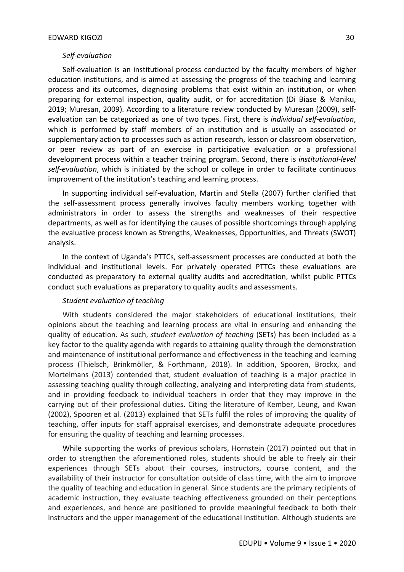## *Self-evaluation*

Self-evaluation is an institutional process conducted by the faculty members of higher education institutions, and is aimed at assessing the progress of the teaching and learning process and its outcomes, diagnosing problems that exist within an institution, or when preparing for external inspection, quality audit, or for accreditation (Di Biase & Maniku, 2019; Muresan, 2009). According to a literature review conducted by Muresan (2009), selfevaluation can be categorized as one of two types. First, there is *individual self-evaluation*, which is performed by staff members of an institution and is usually an associated or supplementary action to processes such as action research, lesson or classroom observation, or peer review as part of an exercise in participative evaluation or a professional development process within a teacher training program. Second, there is *institutional-level self-evaluation*, which is initiated by the school or college in order to facilitate continuous improvement of the institution's teaching and learning process.

In supporting individual self-evaluation, Martin and Stella (2007) further clarified that the self-assessment process generally involves faculty members working together with administrators in order to assess the strengths and weaknesses of their respective departments, as well as for identifying the causes of possible shortcomings through applying the evaluative process known as Strengths, Weaknesses, Opportunities, and Threats (SWOT) analysis.

In the context of Uganda's PTTCs, self-assessment processes are conducted at both the individual and institutional levels. For privately operated PTTCs these evaluations are conducted as preparatory to external quality audits and accreditation, whilst public PTTCs conduct such evaluations as preparatory to quality audits and assessments.

#### *Student evaluation of teaching*

With students considered the major stakeholders of educational institutions, their opinions about the teaching and learning process are vital in ensuring and enhancing the quality of education. As such, *student evaluation of teaching* (SETs) has been included as a key factor to the quality agenda with regards to attaining quality through the demonstration and maintenance of institutional performance and effectiveness in the teaching and learning process (Thielsch, Brinkmöller, & Forthmann, 2018). In addition, Spooren, Brockx, and Mortelmans (2013) contended that, student evaluation of teaching is a major practice in assessing teaching quality through collecting, analyzing and interpreting data from students, and in providing feedback to individual teachers in order that they may improve in the carrying out of their professional duties. Citing the literature of Kember, Leung, and Kwan (2002), Spooren et al. (2013) explained that SETs fulfil the roles of improving the quality of teaching, offer inputs for staff appraisal exercises, and demonstrate adequate procedures for ensuring the quality of teaching and learning processes.

While supporting the works of previous scholars, Hornstein (2017) pointed out that in order to strengthen the aforementioned roles, students should be able to freely air their experiences through SETs about their courses, instructors, course content, and the availability of their instructor for consultation outside of class time, with the aim to improve the quality of teaching and education in general. Since students are the primary recipients of academic instruction, they evaluate teaching effectiveness grounded on their perceptions and experiences, and hence are positioned to provide meaningful feedback to both their instructors and the upper management of the educational institution. Although students are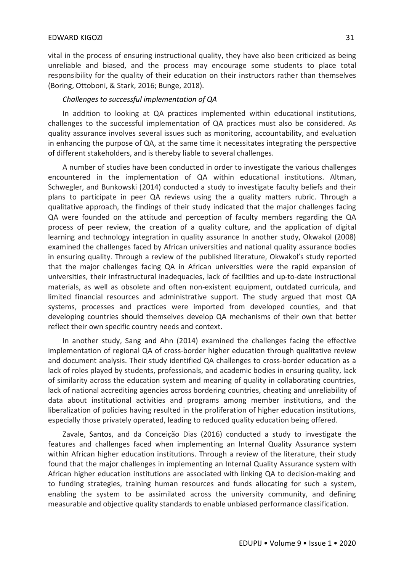vital in the process of ensuring instructional quality, they have also been criticized as being unreliable and biased, and the process may encourage some students to place total responsibility for the quality of their education on their instructors rather than themselves (Boring, Ottoboni, & Stark, 2016; Bunge, 2018).

# *Challenges to successful implementation of QA*

In addition to looking at QA practices implemented within educational institutions, challenges to the successful implementation of QA practices must also be considered. As quality assurance involves several issues such as monitoring, accountability, and evaluation in enhancing the purpose of QA, at the same time it necessitates integrating the perspective of different stakeholders, and is thereby liable to several challenges.

A number of studies have been conducted in order to investigate the various challenges encountered in the implementation of QA within educational institutions. Altman, Schwegler, and Bunkowski (2014) conducted a study to investigate faculty beliefs and their plans to participate in peer QA reviews using the a quality matters rubric. Through a qualitative approach, the findings of their study indicated that the major challenges facing QA were founded on the attitude and perception of faculty members regarding the QA process of peer review, the creation of a quality culture, and the application of digital learning and technology integration in quality assurance In another study, Okwakol (2008) examined the challenges faced by African universities and national quality assurance bodies in ensuring quality. Through a review of the published literature, Okwakol's study reported that the major challenges facing QA in African universities were the rapid expansion of universities, their infrastructural inadequacies, lack of facilities and up-to-date instructional materials, as well as obsolete and often non-existent equipment, outdated curricula, and limited financial resources and administrative support. The study argued that most QA systems, processes and practices were imported from developed counties, and that developing countries should themselves develop QA mechanisms of their own that better reflect their own specific country needs and context.

In another study, Sang and Ahn (2014) examined the challenges facing the effective implementation of regional QA of cross-border higher education through qualitative review and document analysis. Their study identified QA challenges to cross-border education as a lack of roles played by students, professionals, and academic bodies in ensuring quality, lack of similarity across the education system and meaning of quality in collaborating countries, lack of national accrediting agencies across bordering countries, cheating and unreliability of data about institutional activities and programs among member institutions, and the liberalization of policies having resulted in the proliferation of higher education institutions, especially those privately operated, leading to reduced quality education being offered.

Zavale, Santos, and da Conceição Dias (2016) conducted a study to investigate the features and challenges faced when implementing an Internal Quality Assurance system within African higher education institutions. Through a review of the literature, their study found that the major challenges in implementing an Internal Quality Assurance system with African higher education institutions are associated with linking QA to decision-making and to funding strategies, training human resources and funds allocating for such a system, enabling the system to be assimilated across the university community, and defining measurable and objective quality standards to enable unbiased performance classification.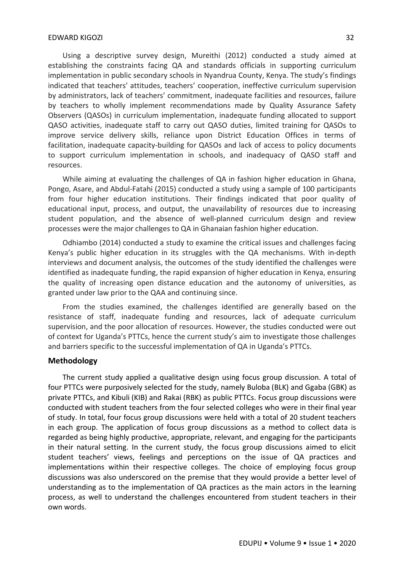Using a descriptive survey design, Mureithi (2012) conducted a study aimed at establishing the constraints facing QA and standards officials in supporting curriculum implementation in public secondary schools in Nyandrua County, Kenya. The study's findings indicated that teachers' attitudes, teachers' cooperation, ineffective curriculum supervision by administrators, lack of teachers' commitment, inadequate facilities and resources, failure by teachers to wholly implement recommendations made by Quality Assurance Safety Observers (QASOs) in curriculum implementation, inadequate funding allocated to support QASO activities, inadequate staff to carry out QASO duties, limited training for QASOs to improve service delivery skills, reliance upon District Education Offices in terms of facilitation, inadequate capacity-building for QASOs and lack of access to policy documents to support curriculum implementation in schools, and inadequacy of QASO staff and resources.

While aiming at evaluating the challenges of QA in fashion higher education in Ghana, Pongo, Asare, and Abdul-Fatahi (2015) conducted a study using a sample of 100 participants from four higher education institutions. Their findings indicated that poor quality of educational input, process, and output, the unavailability of resources due to increasing student population, and the absence of well-planned curriculum design and review processes were the major challenges to QA in Ghanaian fashion higher education.

Odhiambo (2014) conducted a study to examine the critical issues and challenges facing Kenya's public higher education in its struggles with the QA mechanisms. With in-depth interviews and document analysis, the outcomes of the study identified the challenges were identified as inadequate funding, the rapid expansion of higher education in Kenya, ensuring the quality of increasing open distance education and the autonomy of universities, as granted under law prior to the QAA and continuing since.

From the studies examined, the challenges identified are generally based on the resistance of staff, inadequate funding and resources, lack of adequate curriculum supervision, and the poor allocation of resources. However, the studies conducted were out of context for Uganda's PTTCs, hence the current study's aim to investigate those challenges and barriers specific to the successful implementation of QA in Uganda's PTTCs.

## **Methodology**

The current study applied a qualitative design using focus group discussion. A total of four PTTCs were purposively selected for the study, namely Buloba (BLK) and Ggaba (GBK) as private PTTCs, and Kibuli (KIB) and Rakai (RBK) as public PTTCs. Focus group discussions were conducted with student teachers from the four selected colleges who were in their final year of study. In total, four focus group discussions were held with a total of 20 student teachers in each group. The application of focus group discussions as a method to collect data is regarded as being highly productive, appropriate, relevant, and engaging for the participants in their natural setting. In the current study, the focus group discussions aimed to elicit student teachers' views, feelings and perceptions on the issue of QA practices and implementations within their respective colleges. The choice of employing focus group discussions was also underscored on the premise that they would provide a better level of understanding as to the implementation of QA practices as the main actors in the learning process, as well to understand the challenges encountered from student teachers in their own words.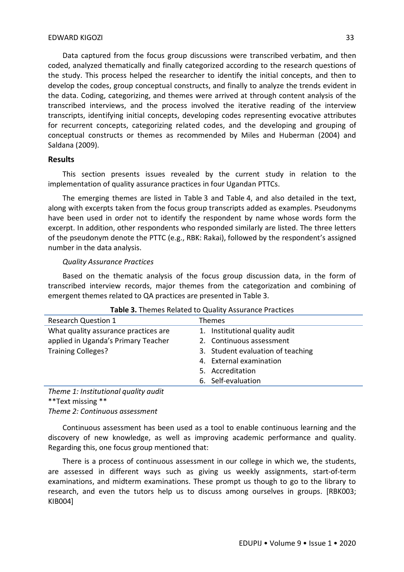Data captured from the focus group discussions were transcribed verbatim, and then coded, analyzed thematically and finally categorized according to the research questions of the study. This process helped the researcher to identify the initial concepts, and then to develop the codes, group conceptual constructs, and finally to analyze the trends evident in the data. Coding, categorizing, and themes were arrived at through content analysis of the transcribed interviews, and the process involved the iterative reading of the interview transcripts, identifying initial concepts, developing codes representing evocative attributes for recurrent concepts, categorizing related codes, and the developing and grouping of conceptual constructs or themes as recommended by Miles and Huberman (2004) and Saldana (2009).

# **Results**

This section presents issues revealed by the current study in relation to the implementation of quality assurance practices in four Ugandan PTTCs.

The emerging themes are listed in Table 3 and Table 4, and also detailed in the text, along with excerpts taken from the focus group transcripts added as examples. Pseudonyms have been used in order not to identify the respondent by name whose words form the excerpt. In addition, other respondents who responded similarly are listed. The three letters of the pseudonym denote the PTTC (e.g., RBK: Rakai), followed by the respondent's assigned number in the data analysis.

#### *Quality Assurance Practices*

Based on the thematic analysis of the focus group discussion data, in the form of transcribed interview records, major themes from the categorization and combining of emergent themes related to QA practices are presented in Table 3.

| <b>Research Question 1</b>            | <b>Themes</b>                     |
|---------------------------------------|-----------------------------------|
| What quality assurance practices are  | 1. Institutional quality audit    |
| applied in Uganda's Primary Teacher   | 2. Continuous assessment          |
| <b>Training Colleges?</b>             | 3. Student evaluation of teaching |
|                                       | 4. External examination           |
|                                       | 5. Accreditation                  |
|                                       | 6. Self-evaluation                |
| テレー・・・・ オーチェントワークション・ナーション ピュー・シーン けん |                                   |

*Theme 1: Institutional quality audit* \*\*Text missing \*\* *Theme 2: Continuous assessment*

Continuous assessment has been used as a tool to enable continuous learning and the discovery of new knowledge, as well as improving academic performance and quality. Regarding this, one focus group mentioned that:

There is a process of continuous assessment in our college in which we, the students, are assessed in different ways such as giving us weekly assignments, start-of-term examinations, and midterm examinations. These prompt us though to go to the library to research, and even the tutors help us to discuss among ourselves in groups. [RBK003; KIB004]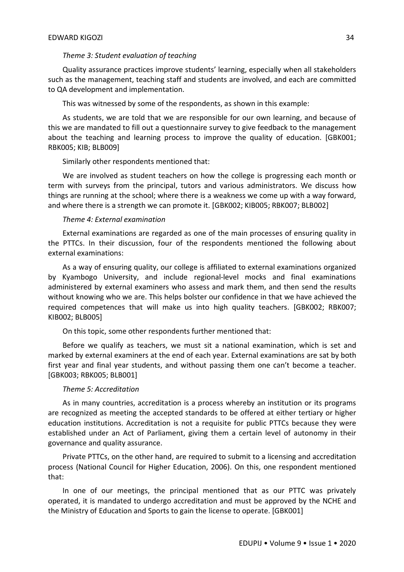#### *Theme 3: Student evaluation of teaching*

Quality assurance practices improve students' learning, especially when all stakeholders such as the management, teaching staff and students are involved, and each are committed to QA development and implementation.

This was witnessed by some of the respondents, as shown in this example:

As students, we are told that we are responsible for our own learning, and because of this we are mandated to fill out a questionnaire survey to give feedback to the management about the teaching and learning process to improve the quality of education. [GBK001; RBK005; KIB; BLB009]

Similarly other respondents mentioned that:

We are involved as student teachers on how the college is progressing each month or term with surveys from the principal, tutors and various administrators. We discuss how things are running at the school; where there is a weakness we come up with a way forward, and where there is a strength we can promote it. [GBK002; KIB005; RBK007; BLB002]

#### *Theme 4: External examination*

External examinations are regarded as one of the main processes of ensuring quality in the PTTCs. In their discussion, four of the respondents mentioned the following about external examinations:

As a way of ensuring quality, our college is affiliated to external examinations organized by Kyambogo University, and include regional-level mocks and final examinations administered by external examiners who assess and mark them, and then send the results without knowing who we are. This helps bolster our confidence in that we have achieved the required competences that will make us into high quality teachers. [GBK002; RBK007; KIB002; BLB005]

On this topic, some other respondents further mentioned that:

Before we qualify as teachers, we must sit a national examination, which is set and marked by external examiners at the end of each year. External examinations are sat by both first year and final year students, and without passing them one can't become a teacher. [GBK003; RBK005; BLB001]

#### *Theme 5: Accreditation*

As in many countries, accreditation is a process whereby an institution or its programs are recognized as meeting the accepted standards to be offered at either tertiary or higher education institutions. Accreditation is not a requisite for public PTTCs because they were established under an Act of Parliament, giving them a certain level of autonomy in their governance and quality assurance.

Private PTTCs, on the other hand, are required to submit to a licensing and accreditation process (National Council for Higher Education, 2006). On this, one respondent mentioned that:

In one of our meetings, the principal mentioned that as our PTTC was privately operated, it is mandated to undergo accreditation and must be approved by the NCHE and the Ministry of Education and Sports to gain the license to operate. [GBK001]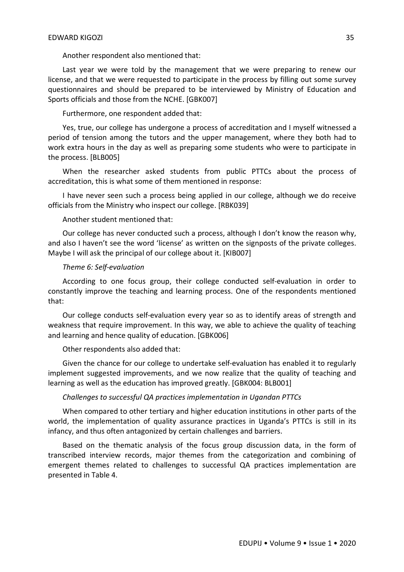Another respondent also mentioned that:

Last year we were told by the management that we were preparing to renew our license, and that we were requested to participate in the process by filling out some survey questionnaires and should be prepared to be interviewed by Ministry of Education and Sports officials and those from the NCHE. [GBK007]

Furthermore, one respondent added that:

Yes, true, our college has undergone a process of accreditation and I myself witnessed a period of tension among the tutors and the upper management, where they both had to work extra hours in the day as well as preparing some students who were to participate in the process. [BLB005]

When the researcher asked students from public PTTCs about the process of accreditation, this is what some of them mentioned in response:

I have never seen such a process being applied in our college, although we do receive officials from the Ministry who inspect our college. [RBK039]

Another student mentioned that:

Our college has never conducted such a process, although I don't know the reason why, and also I haven't see the word 'license' as written on the signposts of the private colleges. Maybe I will ask the principal of our college about it. [KIB007]

#### *Theme 6: Self-evaluation*

According to one focus group, their college conducted self-evaluation in order to constantly improve the teaching and learning process. One of the respondents mentioned that:

Our college conducts self-evaluation every year so as to identify areas of strength and weakness that require improvement. In this way, we able to achieve the quality of teaching and learning and hence quality of education. [GBK006]

Other respondents also added that:

Given the chance for our college to undertake self-evaluation has enabled it to regularly implement suggested improvements, and we now realize that the quality of teaching and learning as well as the education has improved greatly. [GBK004: BLB001]

## *Challenges to successful QA practices implementation in Ugandan PTTCs*

When compared to other tertiary and higher education institutions in other parts of the world, the implementation of quality assurance practices in Uganda's PTTCs is still in its infancy, and thus often antagonized by certain challenges and barriers.

Based on the thematic analysis of the focus group discussion data, in the form of transcribed interview records, major themes from the categorization and combining of emergent themes related to challenges to successful QA practices implementation are presented in Table 4.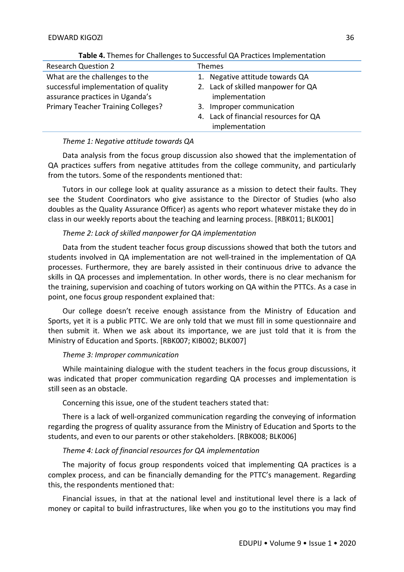| <b>Research Question 2</b>                                              | <b>Themes</b>                                        |
|-------------------------------------------------------------------------|------------------------------------------------------|
| What are the challenges to the                                          | 1. Negative attitude towards QA                      |
| successful implementation of quality<br>assurance practices in Uganda's | 2. Lack of skilled manpower for QA<br>implementation |
| <b>Primary Teacher Training Colleges?</b>                               | 3. Improper communication                            |
|                                                                         | 4. Lack of financial resources for QA                |
|                                                                         | implementation                                       |

**Table 4.** Themes for Challenges to Successful QA Practices Implementation

# *Theme 1: Negative attitude towards QA*

Data analysis from the focus group discussion also showed that the implementation of QA practices suffers from negative attitudes from the college community, and particularly from the tutors. Some of the respondents mentioned that:

Tutors in our college look at quality assurance as a mission to detect their faults. They see the Student Coordinators who give assistance to the Director of Studies (who also doubles as the Quality Assurance Officer) as agents who report whatever mistake they do in class in our weekly reports about the teaching and learning process. [RBK011; BLK001]

# *Theme 2: Lack of skilled manpower for QA implementation*

Data from the student teacher focus group discussions showed that both the tutors and students involved in QA implementation are not well-trained in the implementation of QA processes. Furthermore, they are barely assisted in their continuous drive to advance the skills in QA processes and implementation. In other words, there is no clear mechanism for the training, supervision and coaching of tutors working on QA within the PTTCs. As a case in point, one focus group respondent explained that:

Our college doesn't receive enough assistance from the Ministry of Education and Sports, yet it is a public PTTC. We are only told that we must fill in some questionnaire and then submit it. When we ask about its importance, we are just told that it is from the Ministry of Education and Sports. [RBK007; KIB002; BLK007]

# *Theme 3: Improper communication*

While maintaining dialogue with the student teachers in the focus group discussions, it was indicated that proper communication regarding QA processes and implementation is still seen as an obstacle.

Concerning this issue, one of the student teachers stated that:

There is a lack of well-organized communication regarding the conveying of information regarding the progress of quality assurance from the Ministry of Education and Sports to the students, and even to our parents or other stakeholders. [RBK008; BLK006]

# *Theme 4: Lack of financial resources for QA implementation*

The majority of focus group respondents voiced that implementing QA practices is a complex process, and can be financially demanding for the PTTC's management. Regarding this, the respondents mentioned that:

Financial issues, in that at the national level and institutional level there is a lack of money or capital to build infrastructures, like when you go to the institutions you may find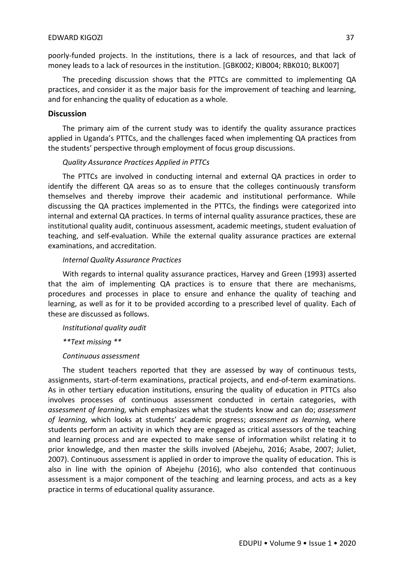## EDWARD KIGOZI 37

poorly-funded projects. In the institutions, there is a lack of resources, and that lack of money leads to a lack of resources in the institution. [GBK002; KIB004; RBK010; BLK007]

The preceding discussion shows that the PTTCs are committed to implementing QA practices, and consider it as the major basis for the improvement of teaching and learning, and for enhancing the quality of education as a whole.

# **Discussion**

The primary aim of the current study was to identify the quality assurance practices applied in Uganda's PTTCs, and the challenges faced when implementing QA practices from the students' perspective through employment of focus group discussions.

# *Quality Assurance Practices Applied in PTTCs*

The PTTCs are involved in conducting internal and external QA practices in order to identify the different QA areas so as to ensure that the colleges continuously transform themselves and thereby improve their academic and institutional performance. While discussing the QA practices implemented in the PTTCs, the findings were categorized into internal and external QA practices. In terms of internal quality assurance practices, these are institutional quality audit, continuous assessment, academic meetings, student evaluation of teaching, and self-evaluation. While the external quality assurance practices are external examinations, and accreditation.

### *Internal Quality Assurance Practices*

With regards to internal quality assurance practices, Harvey and Green (1993) asserted that the aim of implementing QA practices is to ensure that there are mechanisms, procedures and processes in place to ensure and enhance the quality of teaching and learning, as well as for it to be provided according to a prescribed level of quality. Each of these are discussed as follows.

*Institutional quality audit*

*\*\*Text missing \*\** 

# *Continuous assessment*

The student teachers reported that they are assessed by way of continuous tests, assignments, start-of-term examinations, practical projects, and end-of-term examinations. As in other tertiary education institutions, ensuring the quality of education in PTTCs also involves processes of continuous assessment conducted in certain categories, with *assessment of learning,* which emphasizes what the students know and can do; *assessment of learning,* which looks at students' academic progress; *assessment as learning,* where students perform an activity in which they are engaged as critical assessors of the teaching and learning process and are expected to make sense of information whilst relating it to prior knowledge, and then master the skills involved (Abejehu, 2016; Asabe, 2007; Juliet, 2007). Continuous assessment is applied in order to improve the quality of education. This is also in line with the opinion of Abejehu (2016), who also contended that continuous assessment is a major component of the teaching and learning process, and acts as a key practice in terms of educational quality assurance.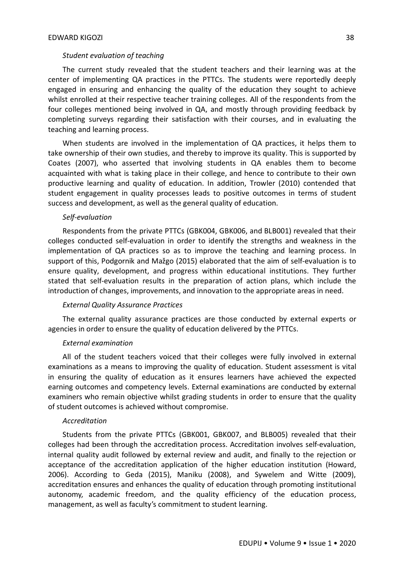# *Student evaluation of teaching*

The current study revealed that the student teachers and their learning was at the center of implementing QA practices in the PTTCs. The students were reportedly deeply engaged in ensuring and enhancing the quality of the education they sought to achieve whilst enrolled at their respective teacher training colleges. All of the respondents from the four colleges mentioned being involved in QA, and mostly through providing feedback by completing surveys regarding their satisfaction with their courses, and in evaluating the teaching and learning process.

When students are involved in the implementation of QA practices, it helps them to take ownership of their own studies, and thereby to improve its quality. This is supported by Coates (2007), who asserted that involving students in QA enables them to become acquainted with what is taking place in their college, and hence to contribute to their own productive learning and quality of education. In addition, Trowler (2010) contended that student engagement in quality processes leads to positive outcomes in terms of student success and development, as well as the general quality of education.

#### *Self-evaluation*

Respondents from the private PTTCs (GBK004, GBK006, and BLB001) revealed that their colleges conducted self-evaluation in order to identify the strengths and weakness in the implementation of QA practices so as to improve the teaching and learning process. In support of this, Podgornik and Mažgo (2015) elaborated that the aim of self-evaluation is to ensure quality, development, and progress within educational institutions. They further stated that self-evaluation results in the preparation of action plans, which include the introduction of changes, improvements, and innovation to the appropriate areas in need.

#### *External Quality Assurance Practices*

The external quality assurance practices are those conducted by external experts or agencies in order to ensure the quality of education delivered by the PTTCs.

#### *External examination*

All of the student teachers voiced that their colleges were fully involved in external examinations as a means to improving the quality of education. Student assessment is vital in ensuring the quality of education as it ensures learners have achieved the expected earning outcomes and competency levels. External examinations are conducted by external examiners who remain objective whilst grading students in order to ensure that the quality of student outcomes is achieved without compromise.

#### *Accreditation*

Students from the private PTTCs (GBK001, GBK007, and BLB005) revealed that their colleges had been through the accreditation process. Accreditation involves self-evaluation, internal quality audit followed by external review and audit, and finally to the rejection or acceptance of the accreditation application of the higher education institution (Howard, 2006). According to Geda (2015), Maniku (2008), and Sywelem and Witte (2009), accreditation ensures and enhances the quality of education through promoting institutional autonomy, academic freedom, and the quality efficiency of the education process, management, as well as faculty's commitment to student learning.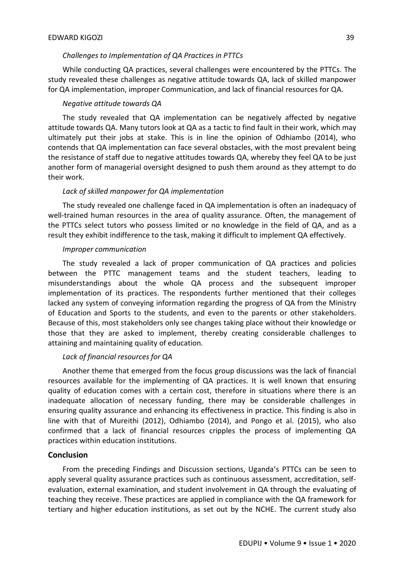### *Challenges to Implementation of QA Practices in PTTCs*

While conducting QA practices, several challenges were encountered by the PTTCs. The study revealed these challenges as negative attitude towards QA, lack of skilled manpower for QA implementation, improper Communication, and lack of financial resources for QA.

## *Negative attitude towards QA*

The study revealed that QA implementation can be negatively affected by negative attitude towards QA. Many tutors look at QA as a tactic to find fault in their work, which may ultimately put their jobs at stake. This is in line the opinion of Odhiambo (2014), who contends that QA implementation can face several obstacles, with the most prevalent being the resistance of staff due to negative attitudes towards QA, whereby they feel QA to be just another form of managerial oversight designed to push them around as they attempt to do their work.

### *Lack of skilled manpower for QA implementation*

The study revealed one challenge faced in QA implementation is often an inadequacy of well-trained human resources in the area of quality assurance. Often, the management of the PTTCs select tutors who possess limited or no knowledge in the field of QA, and as a result they exhibit indifference to the task, making it difficult to implement QA effectively.

#### *Improper communication*

The study revealed a lack of proper communication of QA practices and policies between the PTTC management teams and the student teachers, leading to misunderstandings about the whole QA process and the subsequent improper implementation of its practices. The respondents further mentioned that their colleges lacked any system of conveying information regarding the progress of QA from the Ministry of Education and Sports to the students, and even to the parents or other stakeholders. Because of this, most stakeholders only see changes taking place without their knowledge or those that they are asked to implement, thereby creating considerable challenges to attaining and maintaining quality of education.

# *Lack of financial resources for QA*

Another theme that emerged from the focus group discussions was the lack of financial resources available for the implementing of QA practices. It is well known that ensuring quality of education comes with a certain cost, therefore in situations where there is an inadequate allocation of necessary funding, there may be considerable challenges in ensuring quality assurance and enhancing its effectiveness in practice. This finding is also in line with that of Mureithi (2012), Odhiambo (2014), and Pongo et al. (2015), who also confirmed that a lack of financial resources cripples the process of implementing QA practices within education institutions.

#### **Conclusion**

From the preceding Findings and Discussion sections, Uganda's PTTCs can be seen to apply several quality assurance practices such as continuous assessment, accreditation, selfevaluation, external examination, and student involvement in QA through the evaluating of teaching they receive. These practices are applied in compliance with the QA framework for tertiary and higher education institutions, as set out by the NCHE. The current study also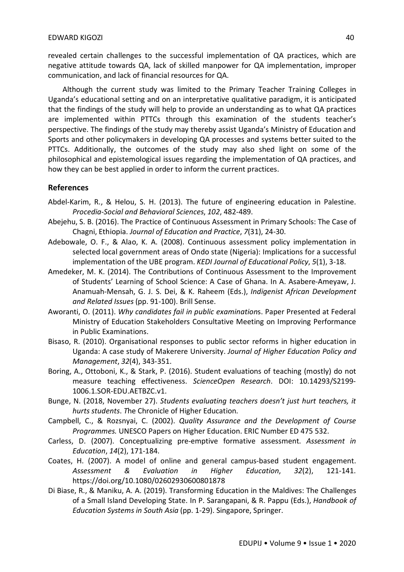revealed certain challenges to the successful implementation of QA practices, which are negative attitude towards QA, lack of skilled manpower for QA implementation, improper communication, and lack of financial resources for QA.

Although the current study was limited to the Primary Teacher Training Colleges in Uganda's educational setting and on an interpretative qualitative paradigm, it is anticipated that the findings of the study will help to provide an understanding as to what QA practices are implemented within PTTCs through this examination of the students teacher's perspective. The findings of the study may thereby assist Uganda's Ministry of Education and Sports and other policymakers in developing QA processes and systems better suited to the PTTCs. Additionally, the outcomes of the study may also shed light on some of the philosophical and epistemological issues regarding the implementation of QA practices, and how they can be best applied in order to inform the current practices.

# **References**

- Abdel-Karim, R., & Helou, S. H. (2013). The future of engineering education in Palestine. *Procedia-Social and Behavioral Sciences*, *102*, 482-489.
- Abejehu, S. B. (2016). The Practice of Continuous Assessment in Primary Schools: The Case of Chagni, Ethiopia. *Journal of Education and Practice*, *7*(31), 24-30.
- Adebowale, O. F., & Alao, K. A. (2008). Continuous assessment policy implementation in selected local government areas of Ondo state (Nigeria): Implications for a successful implementation of the UBE program. *KEDI Journal of Educational Policy*, *5*(1), 3-18.
- Amedeker, M. K. (2014). The Contributions of Continuous Assessment to the Improvement of Students' Learning of School Science: A Case of Ghana. In A. Asabere-Ameyaw, J. Anamuah-Mensah, G. J. S. Dei, & K. Raheem (Eds.), *Indigenist African Development and Related Issues* (pp. 91-100). Brill Sense.
- Aworanti, O. (2011). *Why candidates fail in public examination*s. Paper Presented at Federal Ministry of Education Stakeholders Consultative Meeting on Improving Performance in Public Examinations.
- Bisaso, R. (2010). Organisational responses to public sector reforms in higher education in Uganda: A case study of Makerere University. *Journal of Higher Education Policy and Management*, *32*(4), 343-351.
- Boring, A., Ottoboni, K., & Stark, P. (2016). Student evaluations of teaching (mostly) do not measure teaching effectiveness. *ScienceOpen Research*. DOI: 10.14293/S2199- 1006.1.SOR-EDU.AETBZC.v1.
- Bunge, N. (2018, November 27). *Students evaluating teachers doesn't just hurt teachers, it hurts students*. *T*he Chronicle of Higher Education.
- Campbell, C., & Rozsnyai, C. (2002). *Quality Assurance and the Development of Course Programmes.* UNESCO Papers on Higher Education. ERIC Number ED 475 532.
- Carless, D. (2007). Conceptualizing pre-emptive formative assessment. *Assessment in Education*, *14*(2), 171-184.
- Coates, H. (2007). A model of online and general campus-based student engagement. *Assessment & Evaluation in Higher Education*, *32*(2), 121-141. https://doi.org/10.1080/02602930600801878
- Di Biase, R., & Maniku, A. A. (2019). Transforming Education in the Maldives: The Challenges of a Small Island Developing State. In P. Sarangapani, & R. Pappu (Eds.), *Handbook of Education Systems in South Asia* (pp. 1-29). Singapore, Springer.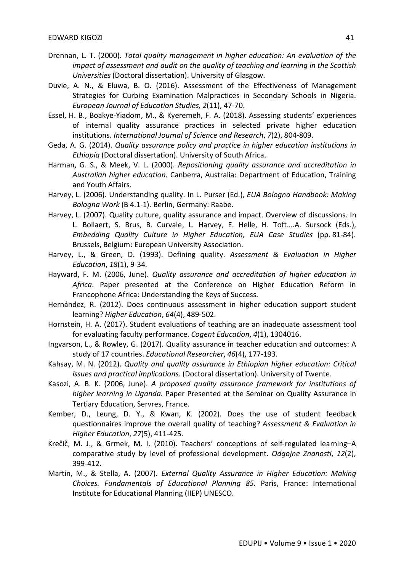- Drennan, L. T. (2000). *Total quality management in higher education: An evaluation of the impact of assessment and audit on the quality of teaching and learning in the Scottish Universities* (Doctoral dissertation). University of Glasgow.
- Duvie, A. N., & Eluwa, B. O. (2016). Assessment of the Effectiveness of Management Strategies for Curbing Examination Malpractices in Secondary Schools in Nigeria. *European Journal of Education Studies, 2*(11), 47-70.
- Essel, H. B., Boakye-Yiadom, M., & Kyeremeh, F. A. (2018). Assessing students' experiences of internal quality assurance practices in selected private higher education institutions. *International Journal of Science and Research*, *7*(2), 804-809.
- Geda, A. G. (2014). *Quality assurance policy and practice in higher education institutions in Ethiopia* (Doctoral dissertation). University of South Africa.
- Harman, G. S., & Meek, V. L. (2000). *Repositioning quality assurance and accreditation in Australian higher education*. Canberra, Australia: Department of Education, Training and Youth Affairs.
- Harvey, L. (2006). Understanding quality. In L. Purser (Ed.), *EUA Bologna Handbook: Making Bologna Work* (B 4.1-1). Berlin, Germany: Raabe.
- Harvey, L. (2007). Quality culture, quality assurance and impact. Overview of discussions. In L. Bollaert, S. Brus, B. Curvale, L. Harvey, E. Helle, H. Toft….A. Sursock (Eds.), *Embedding Quality Culture in Higher Education, EUA Case Studies* (pp. 81-84). Brussels, Belgium: European University Association.
- Harvey, L., & Green, D. (1993). Defining quality. *Assessment & Evaluation in Higher Education*, *18*(1), 9-34.
- Hayward, F. M. (2006, June). *Quality assurance and accreditation of higher education in Africa*. Paper presented at the Conference on Higher Education Reform in Francophone Africa: Understanding the Keys of Success.
- Hernández, R. (2012). Does continuous assessment in higher education support student learning? *Higher Education*, *64*(4), 489-502.
- Hornstein, H. A. (2017). Student evaluations of teaching are an inadequate assessment tool for evaluating faculty performance. *Cogent Education*, *4*(1), 1304016.
- Ingvarson, L., & Rowley, G. (2017). Quality assurance in teacher education and outcomes: A study of 17 countries. *Educational Researcher*, *46*(4), 177-193.
- Kahsay, M. N. (2012). *Quality and quality assurance in Ethiopian higher education: Critical issues and practical implications*. (Doctoral dissertation). University of Twente.
- Kasozi, A. B. K. (2006, June). *A proposed quality assurance framework for institutions of higher learning in Uganda.* Paper Presented at the Seminar on Quality Assurance in Tertiary Education, Servres, France.
- Kember, D., Leung, D. Y., & Kwan, K. (2002). Does the use of student feedback questionnaires improve the overall quality of teaching? *Assessment & Evaluation in Higher Education*, *27*(5), 411-425.
- Krečič, M. J., & Grmek, M. I. (2010). Teachers' conceptions of self-regulated learning–A comparative study by level of professional development. *Odgojne Znanosti*, *12*(2), 399-412.
- Martin, M., & Stella, A. (2007). *External Quality Assurance in Higher Education: Making Choices. Fundamentals of Educational Planning 85.* Paris, France: International Institute for Educational Planning (IIEP) UNESCO.